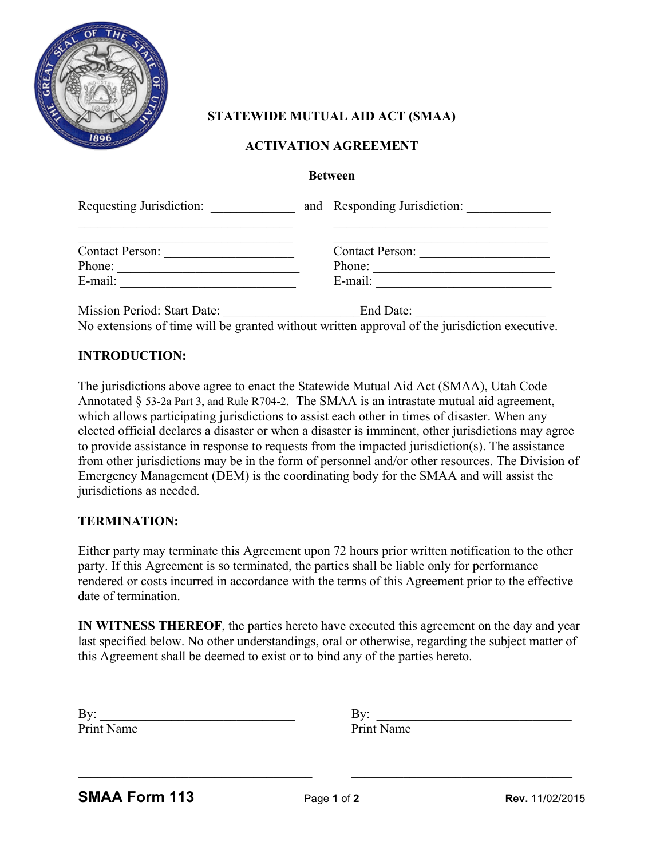

# **STATEWIDE MUTUAL AID ACT (SMAA)**

## **ACTIVATION AGREEMENT**

#### **Between**

| Requesting Jurisdiction:    | and Responding Jurisdiction: |  |
|-----------------------------|------------------------------|--|
| <b>Contact Person:</b>      | <b>Contact Person:</b>       |  |
| Phone:                      | Phone:                       |  |
| E-mail:                     | E-mail:                      |  |
| Mission Period: Start Date: | End Date:                    |  |

No extensions of time will be granted without written approval of the jurisdiction executive.

### **INTRODUCTION:**

The jurisdictions above agree to enact the Statewide Mutual Aid Act (SMAA), Utah Code Annotated § 53-2a Part 3, and Rule R704-2. The SMAA is an intrastate mutual aid agreement, which allows participating jurisdictions to assist each other in times of disaster. When any elected official declares a disaster or when a disaster is imminent, other jurisdictions may agree to provide assistance in response to requests from the impacted jurisdiction(s). The assistance from other jurisdictions may be in the form of personnel and/or other resources. The Division of Emergency Management (DEM) is the coordinating body for the SMAA and will assist the jurisdictions as needed.

#### **TERMINATION:**

Either party may terminate this Agreement upon 72 hours prior written notification to the other party. If this Agreement is so terminated, the parties shall be liable only for performance rendered or costs incurred in accordance with the terms of this Agreement prior to the effective date of termination.

**IN WITNESS THEREOF**, the parties hereto have executed this agreement on the day and year last specified below. No other understandings, oral or otherwise, regarding the subject matter of this Agreement shall be deemed to exist or to bind any of the parties hereto.

| By:        | ظاهر<br>◡  |
|------------|------------|
| Print Name | Print Name |

 $\_$  , and the contribution of the contribution of  $\overline{a}$  , and  $\overline{b}$  , and  $\overline{b}$  , and  $\overline{b}$  , and  $\overline{b}$